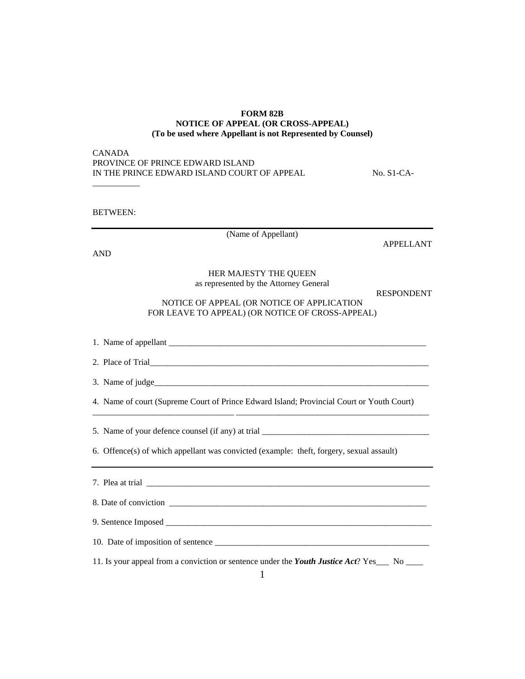## **FORM 82B NOTICE OF APPEAL (OR CROSS-APPEAL) (To be used where Appellant is not Represented by Counsel)**

| CANADA                                      |
|---------------------------------------------|
| PROVINCE OF PRINCE EDWARD ISLAND            |
| IN THE PRINCE EDWARD ISLAND COURT OF APPEAL |

 $No. S1-CA-$ 

BETWEEN:

\_\_\_\_\_\_\_\_\_\_\_

(Name of Appellant)

APPELLANT

AND

## HER MAJESTY THE QUEEN as represented by the Attorney General

RESPONDENT

NOTICE OF APPEAL (OR NOTICE OF APPLICATION FOR LEAVE TO APPEAL) (OR NOTICE OF CROSS-APPEAL)

1. Name of appellant \_\_\_\_\_\_\_\_\_\_\_\_\_\_\_\_\_\_\_\_\_\_\_\_\_\_\_\_\_\_\_\_\_\_\_\_\_\_\_\_\_\_\_\_\_\_\_\_\_\_\_\_\_\_\_\_\_\_\_\_

2. Place of Trial\_\_\_\_\_\_\_\_\_\_\_\_\_\_\_\_\_\_\_\_\_\_\_\_\_\_\_\_\_\_\_\_\_\_\_\_\_\_\_\_\_\_\_\_\_\_\_\_\_\_\_\_\_\_\_\_\_\_\_\_\_\_\_\_\_

3. Name of judge $\Box$ 

4. Name of court (Supreme Court of Prince Edward Island; Provincial Court or Youth Court)

\_\_\_\_\_\_\_\_\_\_\_\_\_\_\_\_\_\_\_\_\_\_\_\_\_\_\_\_\_\_\_\_\_ \_\_\_\_\_\_\_\_\_\_\_\_\_\_\_\_\_\_\_\_\_\_\_\_\_\_\_\_\_\_\_\_\_\_\_\_\_\_\_\_\_\_\_\_\_

5. Name of your defence counsel (if any) at trial \_\_\_\_\_\_\_\_\_\_\_\_\_\_\_\_\_\_\_\_\_\_\_\_\_\_\_\_\_\_\_

6. Offence(s) of which appellant was convicted (example: theft, forgery, sexual assault)

7. Plea at trial \_\_\_\_\_\_\_\_\_\_\_\_\_\_\_\_\_\_\_\_\_\_\_\_\_\_\_\_\_\_\_\_\_\_\_\_\_\_\_\_\_\_\_\_\_\_\_\_\_\_\_\_\_\_\_\_\_\_\_\_\_\_\_\_\_\_

8. Date of conviction \_\_\_\_\_\_\_\_\_\_\_\_\_\_\_\_\_\_\_\_\_\_\_\_\_\_\_\_\_\_\_\_\_\_\_\_\_\_\_\_\_\_\_\_\_\_\_\_\_\_\_\_\_\_\_\_\_\_\_\_

9. Sentence Imposed \_\_\_\_\_\_\_\_\_\_\_\_\_\_\_\_\_\_\_\_\_\_\_\_\_\_\_\_\_\_\_\_\_\_\_\_\_\_\_\_\_\_\_\_\_\_\_\_\_\_\_\_\_\_\_\_\_\_\_\_\_\_

10. Date of imposition of sentence \_\_\_\_\_\_\_\_\_\_\_\_\_\_\_\_\_\_\_\_\_\_\_\_\_\_\_\_\_\_\_\_\_\_\_\_\_\_\_\_\_\_\_\_\_\_\_\_\_\_

11. Is your appeal from a conviction or sentence under the *Youth Justice Act*? Yes\_\_\_ No \_\_\_\_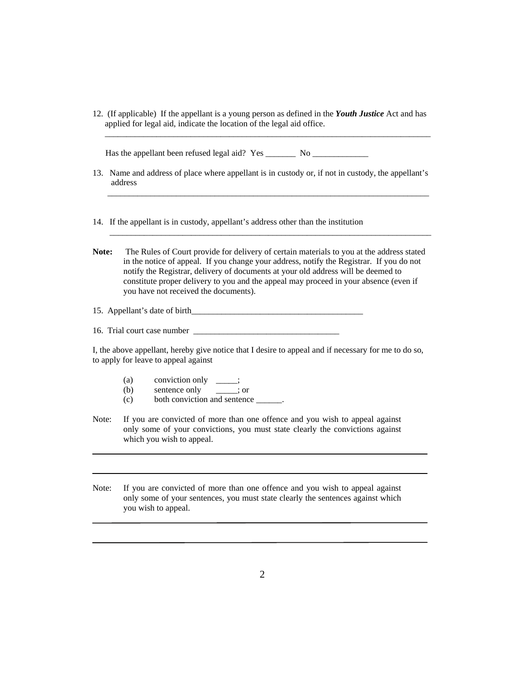12. (If applicable) If the appellant is a young person as defined in the *Youth Justice* Act and has applied for legal aid, indicate the location of the legal aid office.

\_\_\_\_\_\_\_\_\_\_\_\_\_\_\_\_\_\_\_\_\_\_\_\_\_\_\_\_\_\_\_\_\_\_\_\_\_\_\_\_\_\_\_\_\_\_\_\_\_\_\_\_\_\_\_\_\_\_\_\_\_\_\_\_\_\_\_\_\_\_\_\_\_\_\_\_

Has the appellant been refused legal aid? Yes \_\_\_\_\_\_\_\_\_\_ No \_\_\_\_\_\_\_\_\_\_\_\_\_\_\_\_\_\_\_\_

- 13. Name and address of place where appellant is in custody or, if not in custody, the appellant's address  $\frac{1}{2}$  ,  $\frac{1}{2}$  ,  $\frac{1}{2}$  ,  $\frac{1}{2}$  ,  $\frac{1}{2}$  ,  $\frac{1}{2}$  ,  $\frac{1}{2}$  ,  $\frac{1}{2}$  ,  $\frac{1}{2}$  ,  $\frac{1}{2}$  ,  $\frac{1}{2}$  ,  $\frac{1}{2}$  ,  $\frac{1}{2}$  ,  $\frac{1}{2}$  ,  $\frac{1}{2}$  ,  $\frac{1}{2}$  ,  $\frac{1}{2}$  ,  $\frac{1}{2}$  ,  $\frac{1$
- 14. If the appellant is in custody, appellant's address other than the institution
- **Note:** The Rules of Court provide for delivery of certain materials to you at the address stated in the notice of appeal. If you change your address, notify the Registrar. If you do not notify the Registrar, delivery of documents at your old address will be deemed to constitute proper delivery to you and the appeal may proceed in your absence (even if you have not received the documents).

 $\mathcal{L}_\text{max} = \frac{1}{2} \sum_{i=1}^{n} \frac{1}{2} \sum_{j=1}^{n} \frac{1}{2} \sum_{j=1}^{n} \frac{1}{2} \sum_{j=1}^{n} \frac{1}{2} \sum_{j=1}^{n} \frac{1}{2} \sum_{j=1}^{n} \frac{1}{2} \sum_{j=1}^{n} \frac{1}{2} \sum_{j=1}^{n} \frac{1}{2} \sum_{j=1}^{n} \frac{1}{2} \sum_{j=1}^{n} \frac{1}{2} \sum_{j=1}^{n} \frac{1}{2} \sum_{j=1}^{n} \frac{1$ 

15. Appellant's date of birth\_\_\_\_\_\_\_\_\_\_\_\_\_\_\_\_\_\_\_\_\_\_\_\_\_\_\_\_\_\_\_\_\_\_\_\_\_\_\_\_

16. Trial court case number

I, the above appellant, hereby give notice that I desire to appeal and if necessary for me to do so, to apply for leave to appeal against

- (a) conviction only
- (b) sentence only \_\_\_\_\_; or
- (c) both conviction and sentence \_\_\_\_\_\_.
- Note: If you are convicted of more than one offence and you wish to appeal against only some of your convictions, you must state clearly the convictions against which you wish to appeal.
- Note: If you are convicted of more than one offence and you wish to appeal against only some of your sentences, you must state clearly the sentences against which you wish to appeal.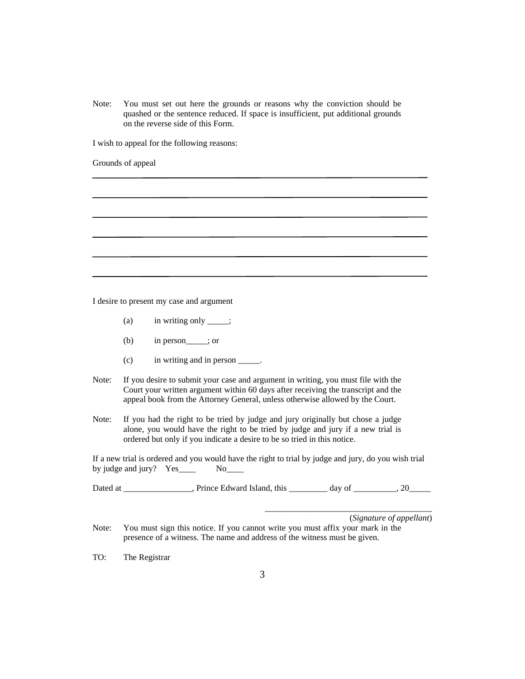Note: You must set out here the grounds or reasons why the conviction should be quashed or the sentence reduced. If space is insufficient, put additional grounds on the reverse side of this Form.

I wish to appeal for the following reasons:

Grounds of appeal

I desire to present my case and argument

- (a) in writing only  $\_\_\_\$ ;
- (b) in person\_\_\_\_\_; or
- (c) in writing and in person \_\_\_\_\_.
- Note: If you desire to submit your case and argument in writing, you must file with the Court your written argument within 60 days after receiving the transcript and the appeal book from the Attorney General, unless otherwise allowed by the Court.
- Note: If you had the right to be tried by judge and jury originally but chose a judge alone, you would have the right to be tried by judge and jury if a new trial is ordered but only if you indicate a desire to be so tried in this notice.

If a new trial is ordered and you would have the right to trial by judge and jury, do you wish trial by judge and jury? Yes\_\_\_\_\_ No\_\_\_\_

Dated at \_\_\_\_\_\_\_\_\_\_\_\_\_, Prince Edward Island, this \_\_\_\_\_\_\_\_ day of \_\_\_\_\_\_\_, 20\_\_\_\_

(*Signature of appellant*)

\_\_\_\_\_\_\_\_\_\_\_\_\_\_\_\_\_\_\_\_\_\_\_\_\_\_\_\_\_\_\_\_\_\_\_\_\_\_\_

Note: You must sign this notice. If you cannot write you must affix your mark in the presence of a witness. The name and address of the witness must be given.

TO: The Registrar